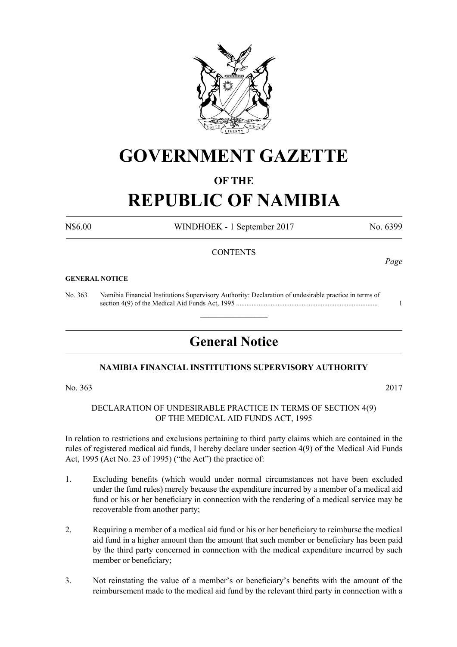

# **GOVERNMENT GAZETTE**

## **OF THE**

# **REPUBLIC OF NAMIBIA**

N\$6.00 WINDHOEK - 1 September 2017 No. 6399

### **CONTENTS**

#### **GENERAL NOTICE**

No. 363 Namibia Financial Institutions Supervisory Authority: Declaration of undesirable practice in terms of section 4(9) of the Medical Aid Funds Act, 1995 .................................................................................. 1

# **General Notice**

 $\overline{\phantom{a}}$  , where  $\overline{\phantom{a}}$ 

### **NAMIBIA FINANCIAL INSTITUTIONS SUPERVISORY AUTHORITY**

No. 363 2017

#### DECLARATION OF UNDESIRABLE PRACTICE IN TERMS OF SECTION 4(9) OF THE MEDICAL AID FUNDS ACT, 1995

In relation to restrictions and exclusions pertaining to third party claims which are contained in the rules of registered medical aid funds, I hereby declare under section 4(9) of the Medical Aid Funds Act, 1995 (Act No. 23 of 1995) ("the Act") the practice of:

- 1. Excluding benefits (which would under normal circumstances not have been excluded under the fund rules) merely because the expenditure incurred by a member of a medical aid fund or his or her beneficiary in connection with the rendering of a medical service may be recoverable from another party;
- 2. Requiring a member of a medical aid fund or his or her beneficiary to reimburse the medical aid fund in a higher amount than the amount that such member or beneficiary has been paid by the third party concerned in connection with the medical expenditure incurred by such member or beneficiary;
- 3. Not reinstating the value of a member's or beneficiary's benefits with the amount of the reimbursement made to the medical aid fund by the relevant third party in connection with a

*Page*